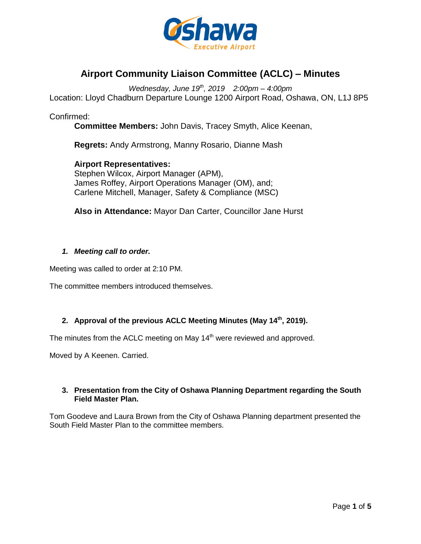

# **Airport Community Liaison Committee (ACLC) – Minutes**

*Wednesday, June 19th, 2019 2:00pm – 4:00pm* Location: Lloyd Chadburn Departure Lounge 1200 Airport Road, Oshawa, ON, L1J 8P5

Confirmed:

**Committee Members:** John Davis, Tracey Smyth, Alice Keenan,

**Regrets:** Andy Armstrong, Manny Rosario, Dianne Mash

**Airport Representatives:** Stephen Wilcox, Airport Manager (APM), James Roffey, Airport Operations Manager (OM), and; Carlene Mitchell, Manager, Safety & Compliance (MSC)

**Also in Attendance:** Mayor Dan Carter, Councillor Jane Hurst

#### *1. Meeting call to order.*

Meeting was called to order at 2:10 PM.

The committee members introduced themselves.

# **2. Approval of the previous ACLC Meeting Minutes (May 14th, 2019).**

The minutes from the ACLC meeting on May 14<sup>th</sup> were reviewed and approved.

Moved by A Keenen. Carried.

# **3. Presentation from the City of Oshawa Planning Department regarding the South Field Master Plan.**

Tom Goodeve and Laura Brown from the City of Oshawa Planning department presented the South Field Master Plan to the committee members.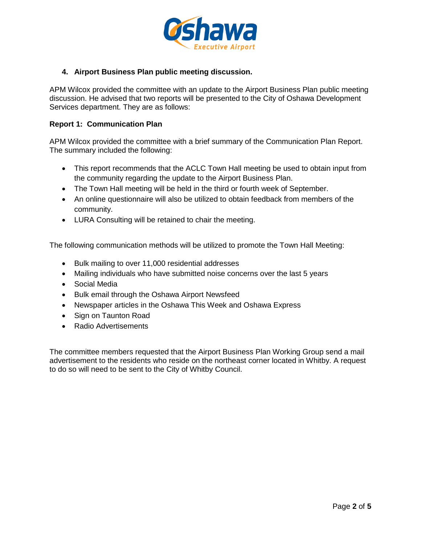

# **4. Airport Business Plan public meeting discussion.**

APM Wilcox provided the committee with an update to the Airport Business Plan public meeting discussion. He advised that two reports will be presented to the City of Oshawa Development Services department. They are as follows:

#### **Report 1: Communication Plan**

APM Wilcox provided the committee with a brief summary of the Communication Plan Report. The summary included the following:

- This report recommends that the ACLC Town Hall meeting be used to obtain input from the community regarding the update to the Airport Business Plan.
- The Town Hall meeting will be held in the third or fourth week of September.
- An online questionnaire will also be utilized to obtain feedback from members of the community.
- LURA Consulting will be retained to chair the meeting.

The following communication methods will be utilized to promote the Town Hall Meeting:

- Bulk mailing to over 11,000 residential addresses
- Mailing individuals who have submitted noise concerns over the last 5 years
- Social Media
- Bulk email through the Oshawa Airport Newsfeed
- Newspaper articles in the Oshawa This Week and Oshawa Express
- Sign on Taunton Road
- Radio Advertisements

The committee members requested that the Airport Business Plan Working Group send a mail advertisement to the residents who reside on the northeast corner located in Whitby. A request to do so will need to be sent to the City of Whitby Council.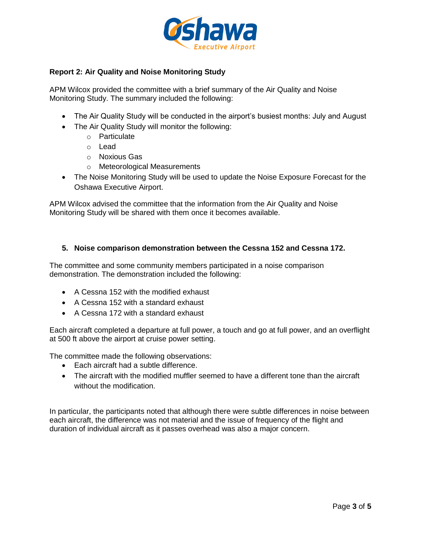

# **Report 2: Air Quality and Noise Monitoring Study**

APM Wilcox provided the committee with a brief summary of the Air Quality and Noise Monitoring Study. The summary included the following:

- The Air Quality Study will be conducted in the airport's busiest months: July and August
- The Air Quality Study will monitor the following:
	- o Particulate
	- o Lead
	- o Noxious Gas
	- o Meteorological Measurements
- The Noise Monitoring Study will be used to update the Noise Exposure Forecast for the Oshawa Executive Airport.

APM Wilcox advised the committee that the information from the Air Quality and Noise Monitoring Study will be shared with them once it becomes available.

#### **5. Noise comparison demonstration between the Cessna 152 and Cessna 172.**

The committee and some community members participated in a noise comparison demonstration. The demonstration included the following:

- A Cessna 152 with the modified exhaust
- A Cessna 152 with a standard exhaust
- A Cessna 172 with a standard exhaust

Each aircraft completed a departure at full power, a touch and go at full power, and an overflight at 500 ft above the airport at cruise power setting.

The committee made the following observations:

- Each aircraft had a subtle difference.
- The aircraft with the modified muffler seemed to have a different tone than the aircraft without the modification.

In particular, the participants noted that although there were subtle differences in noise between each aircraft, the difference was not material and the issue of frequency of the flight and duration of individual aircraft as it passes overhead was also a major concern.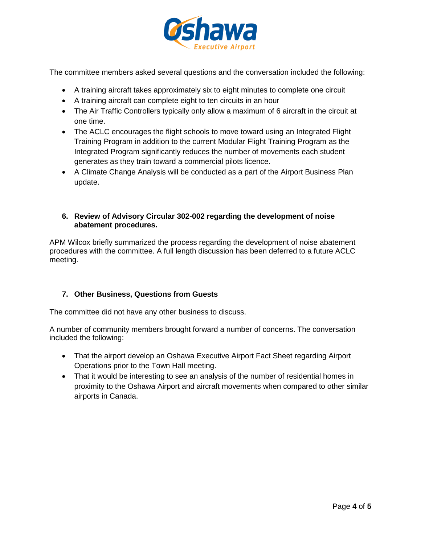

The committee members asked several questions and the conversation included the following:

- A training aircraft takes approximately six to eight minutes to complete one circuit
- A training aircraft can complete eight to ten circuits in an hour
- The Air Traffic Controllers typically only allow a maximum of 6 aircraft in the circuit at one time.
- The ACLC encourages the flight schools to move toward using an Integrated Flight Training Program in addition to the current Modular Flight Training Program as the Integrated Program significantly reduces the number of movements each student generates as they train toward a commercial pilots licence.
- A Climate Change Analysis will be conducted as a part of the Airport Business Plan update.

### **6. Review of Advisory Circular 302-002 regarding the development of noise abatement procedures.**

APM Wilcox briefly summarized the process regarding the development of noise abatement procedures with the committee. A full length discussion has been deferred to a future ACLC meeting.

# **7. Other Business, Questions from Guests**

The committee did not have any other business to discuss.

A number of community members brought forward a number of concerns. The conversation included the following:

- That the airport develop an Oshawa Executive Airport Fact Sheet regarding Airport Operations prior to the Town Hall meeting.
- That it would be interesting to see an analysis of the number of residential homes in proximity to the Oshawa Airport and aircraft movements when compared to other similar airports in Canada.